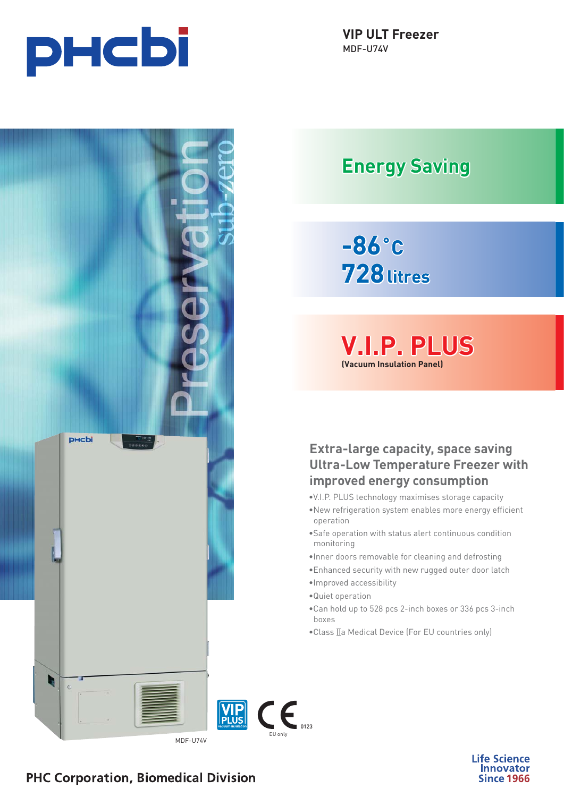

## **Energy Saving**

# **-86˚C 728litres**

**V.I.P. PLUS .I.P. (Vacuum Insulation Panel)**

**Extra-large capacity, space saving Ultra-Low Temperature Freezer with improved energy consumption**

- •V.I.P. PLUS technology maximises storage capacity
- •New refrigeration system enables more energy efficient operation
- •Safe operation with status alert continuous condition monitoring
- •Inner doors removable for cleaning and defrosting
- •Enhanced security with new rugged outer door latch
- •Improved accessibility
- •Quiet operation

 $\epsilon$ <sub>0123</sub>

- •Can hold up to 528 pcs 2-inch boxes or 336 pcs 3-inch boxes
- •Class IIa Medical Device (For EU countries only)



**Life Science** Innovator **Since 1966** 

### **PHC Corporation, Biomedical Division**